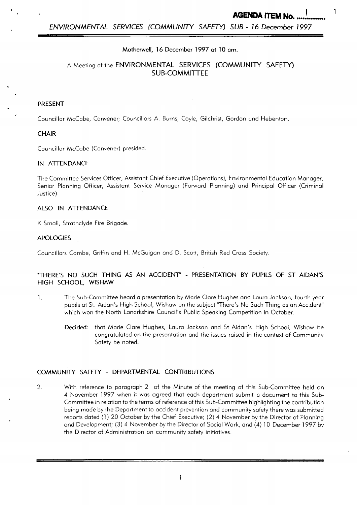### Motherwell, 16 December *1997* at 10 **am.**

# A Meeting of the ENVIRONMENTAL SERVICES (COMMUNITY **SAFETY)**  SUB-COMMITTEE

## PRESENT

.

Councillor McCabe, Convener; Councillors A. Burns, Coyle, Gilchrist, Gordon and Hebenton.

#### **CHAIR**

Councillor McCabe (Convener) presided.

#### IN ATTENDANCE

The Committee Services Officer, Assistant Chief Executive (Operations), Environmental Education Manager, Senior Planning Officer, Assistant Service Manager (Forward Planning) and Principal Officer (Criminal Justice).

### ALSO IN ATFENDANCE

K Small, Strathclyde Fire Brigade.

#### **APOLOGIES**

Councillors Combe, Griffin and H. McGuigan and D. Scott, British Red Cross Society.

### "THERE'S NO SUCH THING AS AN ACCIDENT - PRESENTATION BY PUPILS OF ST AIDAN'S HIGH SCHOOL, WISHAW

- 1. The Sub-Committee heard a presentation by Marie Clare Hughes and Laura Jackson, fourth year pupils at St. Aidan's High School, Wishaw on the subject "There's No Such Thing as an Accident" which won the North Lanarkshire Council's Public Speaking Competition in October.
	- Decided: that Marie Clare Hughes, Laura Jackson and St Aidan's High School, Wishaw be congratulated on the presentation and the issues raised in the context of Community Safety be noted.

# COMMUNITY SAFETY - DEPARTMENTAL CONTRIBUTIONS

2. With reference to paragraph 2 of the Minute of the meeting of this Sub-Committee held on 4 November *1997* when it was agreed that each department submit a document to this Subcommittee in relation to the terms of reference of this Sub-committee highlighting the contribution being made by the Department to accident prevention and community safety there was submitted reports doted (1 ) 20 October by the Chief Executive; (2) 4 November by the Director of Planning and Development; (3) 4 November by the Director of Social Work, and (4) 10 December *1997* by the Director of Administration on community safety initiatives.